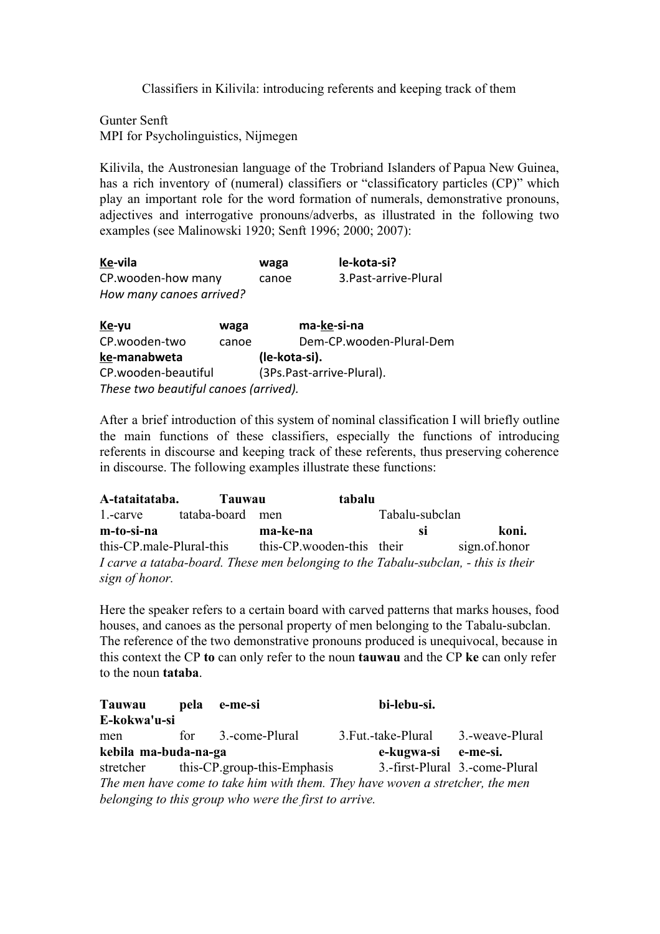Classifiers in Kilivila: introducing referents and keeping track of them

Gunter Senft MPI for Psycholinguistics, Nijmegen

Kilivila, the Austronesian language of the Trobriand Islanders of Papua New Guinea, has a rich inventory of (numeral) classifiers or "classificatory particles (CP)" which play an important role for the word formation of numerals, demonstrative pronouns, adjectives and interrogative pronouns/adverbs, as illustrated in the following two examples (see Malinowski 1920; Senft 1996; 2000; 2007):

| Ke-vila                  | waga  | le-kota-si?           |
|--------------------------|-------|-----------------------|
| CP.wooden-how many       | canoe | 3. Past-arrive-Plural |
| How many canoes arrived? |       |                       |

| Ke-yu                                 | waga  | ma-ke-si-na               |  |  |  |
|---------------------------------------|-------|---------------------------|--|--|--|
| CP.wooden-two                         | canoe | Dem-CP.wooden-Plural-Dem  |  |  |  |
| ke-manabweta                          |       | (le-kota-si).             |  |  |  |
| CP.wooden-beautiful                   |       | (3Ps.Past-arrive-Plural). |  |  |  |
| These two beautiful canoes (arrived). |       |                           |  |  |  |

After a brief introduction of this system of nominal classification I will briefly outline the main functions of these classifiers, especially the functions of introducing referents in discourse and keeping track of these referents, thus preserving coherence in discourse. The following examples illustrate these functions:

**Atataitataba. Tauwau tabalu** 1.-carve tataba-board men Tabalu-subclan **mtosina makena si koni.** this-CP.male-Plural-this this-CP.wooden-this their sign.of.honor *I carve a tataba-board. These men belonging to the Tabalu-subclan, - this is their sign of honor.*

Here the speaker refers to a certain board with carved patterns that marks houses, food houses, and canoes as the personal property of men belonging to the Tabalu-subclan. The reference of the two demonstrative pronouns produced is unequivocal, because in this context the CP **to** can only refer to the noun **tauwau** and the CP **ke** can only refer to the noun **tataba**.

| Tauwau                                                                        | pela | e-me-si                                               | bi-lebu-si.           |                                |  |  |
|-------------------------------------------------------------------------------|------|-------------------------------------------------------|-----------------------|--------------------------------|--|--|
| E-kokwa'u-si                                                                  |      |                                                       |                       |                                |  |  |
| men                                                                           | for  | 3.-come-Plural                                        | 3. Fut. - take-Plural | 3.-weave-Plural                |  |  |
| kebila ma-buda-na-ga                                                          |      |                                                       | e-kugwa-si e-me-si.   |                                |  |  |
|                                                                               |      | stretcher this-CP group-this-Emphasis                 |                       | 3.-first-Plural 3.-come-Plural |  |  |
| The men have come to take him with them. They have woven a stretcher, the men |      |                                                       |                       |                                |  |  |
|                                                                               |      | belonging to this group who were the first to arrive. |                       |                                |  |  |